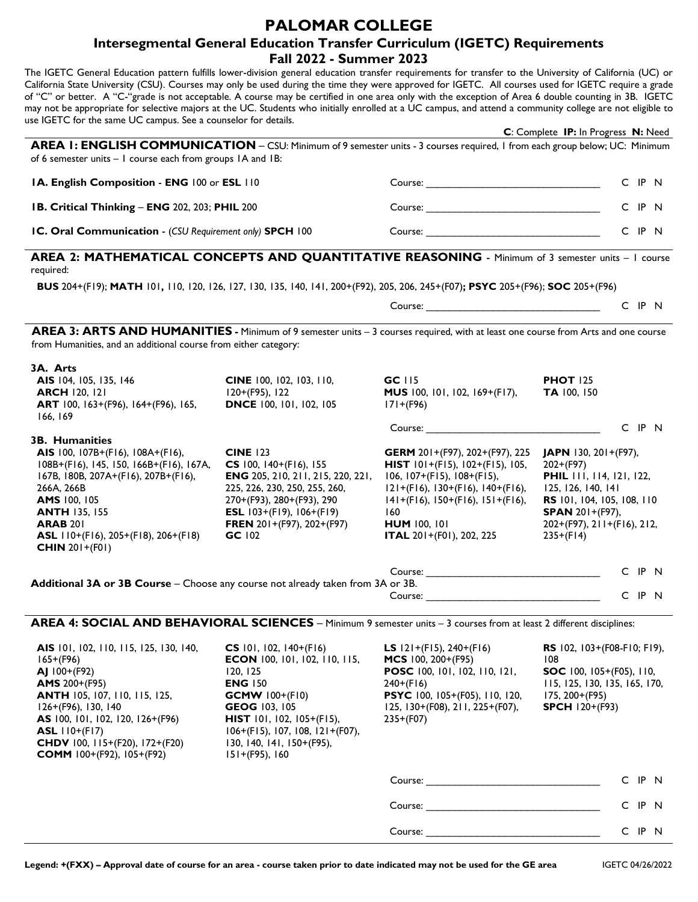## **PALOMAR COLLEGE**

## **Intersegmental General Education Transfer Curriculum (IGETC) Requirements Fall 2022 - Summer 2023**

The IGETC General Education pattern fulfills lower-division general education transfer requirements for transfer to the University of California (UC) or California State University (CSU). Courses may only be used during the time they were approved for IGETC. All courses used for IGETC require a grade of "C" or better. A "C-"grade is not acceptable. A course may be certified in one area only with the exception of Area 6 double counting in 3B. IGETC may not be appropriate for selective majors at the UC. Students who initially enrolled at a UC campus, and attend a community college are not eligible to use IGETC for the same UC campus. See a counselor for details.

| $15.1$ The result of the same of campus. See a counselor for details.                                                                                                                                                                                                         |                                                                                                                                                                                                                                       |                                                                                                                                                                                                                                                                       | C: Complete IP: In Progress N: Need                                                                                                                                                                         |
|-------------------------------------------------------------------------------------------------------------------------------------------------------------------------------------------------------------------------------------------------------------------------------|---------------------------------------------------------------------------------------------------------------------------------------------------------------------------------------------------------------------------------------|-----------------------------------------------------------------------------------------------------------------------------------------------------------------------------------------------------------------------------------------------------------------------|-------------------------------------------------------------------------------------------------------------------------------------------------------------------------------------------------------------|
| AREA 1: ENGLISH COMMUNICATION - CSU: Minimum of 9 semester units - 3 courses required, 1 from each group below; UC: Minimum<br>of 6 semester units $-1$ course each from groups $IA$ and $IB$ :                                                                               |                                                                                                                                                                                                                                       |                                                                                                                                                                                                                                                                       |                                                                                                                                                                                                             |
| IA. English Composition - ENG 100 or ESL 110<br>IB. Critical Thinking - ENG 202, 203; PHIL 200<br>IC. Oral Communication - (CSU Requirement only) SPCH 100                                                                                                                    |                                                                                                                                                                                                                                       |                                                                                                                                                                                                                                                                       | C IP N                                                                                                                                                                                                      |
|                                                                                                                                                                                                                                                                               |                                                                                                                                                                                                                                       |                                                                                                                                                                                                                                                                       | C IP N                                                                                                                                                                                                      |
|                                                                                                                                                                                                                                                                               |                                                                                                                                                                                                                                       |                                                                                                                                                                                                                                                                       | C IP N                                                                                                                                                                                                      |
| AREA 2: MATHEMATICAL CONCEPTS AND QUANTITATIVE REASONING - Minimum of 3 semester units - I course<br>required:<br>BUS 204+(F19); MATH 101, 110, 120, 126, 127, 130, 135, 140, 141, 200+(F92), 205, 206, 245+(F07); PSYC 205+(F96); SOC 205+(F96)                              |                                                                                                                                                                                                                                       |                                                                                                                                                                                                                                                                       |                                                                                                                                                                                                             |
|                                                                                                                                                                                                                                                                               |                                                                                                                                                                                                                                       |                                                                                                                                                                                                                                                                       |                                                                                                                                                                                                             |
| AREA 3: ARTS AND HUMANITIES - Minimum of 9 semester units - 3 courses required, with at least one course from Arts and one course<br>from Humanities, and an additional course from either category:                                                                          |                                                                                                                                                                                                                                       |                                                                                                                                                                                                                                                                       |                                                                                                                                                                                                             |
| 3A. Arts                                                                                                                                                                                                                                                                      |                                                                                                                                                                                                                                       |                                                                                                                                                                                                                                                                       |                                                                                                                                                                                                             |
| AIS 104, 105, 135, 146<br><b>ARCH 120, 121</b><br>ART 100, 163+(F96), 164+(F96), 165,<br>166, 169                                                                                                                                                                             | <b>CINE</b> 100, 102, 103, 110,<br>120+(F95), 122<br><b>DNCE</b> 100, 101, 102, 105                                                                                                                                                   | $GC$ $115$<br>MUS 100, 101, 102, 169+(F17),<br>$171+(F96)$                                                                                                                                                                                                            | <b>PHOT 125</b><br>TA 100, 150                                                                                                                                                                              |
|                                                                                                                                                                                                                                                                               |                                                                                                                                                                                                                                       |                                                                                                                                                                                                                                                                       | C IP N                                                                                                                                                                                                      |
| 3B. Humanities<br>AIS 100, 107B+(F16), 108A+(F16),<br>108B+(F16), 145, 150, 166B+(F16), 167A,<br>167B, 180B, 207A+(F16), 207B+(F16),<br>266A, 266B<br>AMS 100, 105<br><b>ANTH 135, 155</b><br><b>ARAB 201</b><br>ASL 110+(F16), 205+(F18), 206+(F18)<br><b>CHIN</b> 201+(F01) | <b>CINE 123</b><br>CS 100, $140+(F16)$ , 155<br><b>ENG</b> 205, 210, 211, 215, 220, 221,<br>225, 226, 230, 250, 255, 260,<br>270+(F93), 280+(F93), 290<br><b>ESL</b> $103+(F19)$ , $106+(F19)$<br>FREN 201+(F97), 202+(F97)<br>GC 102 | <b>GERM</b> 201+(F97), 202+(F97), 225<br><b>HIST</b> $101+(F15)$ , $102+(F15)$ , $105$ ,<br>$106, 107+(F15), 108+(F15),$<br>$121+(F16), 130+(F16), 140+(F16),$<br>$141+(F16), 150+(F16), 151+(F16),$<br>160<br><b>HUM</b> 100, 101<br><b>ITAL</b> 201+(F01), 202, 225 | <b>JAPN</b> 130, $201+(F97)$ ,<br>$202+(F97)$<br><b>PHIL</b> 111, 114, 121, 122,<br>125, 126, 140, 141<br>RS 101, 104, 105, 108, 110<br><b>SPAN</b> 201+(F97),<br>202+(F97), 211+(F16), 212,<br>$235+(F14)$ |
|                                                                                                                                                                                                                                                                               |                                                                                                                                                                                                                                       |                                                                                                                                                                                                                                                                       | $\sim$ $\sim$ $\sim$                                                                                                                                                                                        |

| Course:                                                                         | C IP      | -N- |
|---------------------------------------------------------------------------------|-----------|-----|
| Additional 3A or 3B Course - Choose any course not already taken from 3A or 3B. |           |     |
| Course:                                                                         | $\cap$ IP | - N |

## **AREA 4: SOCIAL AND BEHAVIORAL SCIENCES** – Minimum 9 semester units – 3 courses from at least 2 different disciplines:

| AIS 101, 102, 110, 115, 125, 130, 140,<br>$165+(F96)$<br>$AJ$ 100+(F92)<br><b>AMS</b> $200+(F95)$<br><b>ANTH 105, 107, 110, 115, 125,</b><br>$126+(F96)$ , 130, 140<br>AS 100, 101, 102, 120, 126+(F96)<br><b>ASL</b> $110+(F17)$<br><b>CHDV</b> 100, 115+(F20), 172+(F20)<br><b>COMM</b> 100+(F92), 105+(F92) | $CS$ 101, 102, 140+(F16)<br><b>ECON</b> 100, 101, 102, 110, 115,<br>120, 125<br><b>ENG 150</b><br><b>GCMW</b> $100+(F10)$<br><b>GEOG</b> 103, 105<br><b>HIST</b> 101, 102, 105+(F15),<br>$106+(F15), 107, 108, 121+(F07),$<br>$130, 140, 141, 150+(F95),$<br>$151+(F95), 160$ | <b>LS</b> $121+(F15)$ , $240+(F16)$<br><b>MCS</b> 100, $200+(F95)$<br><b>POSC</b> 100, 101, 102, 110, 121,<br>$240+(F16)$<br>PSYC 100, 105+(F05), 110, 120,<br>125, 130+(F08), 211, 225+(F07),<br>$235+(F07)$                  | 108<br>$175, 200+(F95)$ | <b>RS</b> 102, 103+(F08-F10; F19),<br><b>SOC</b> 100, $105+(F05)$ , 110,<br>115, 125, 130, 135, 165, 170,<br><b>SPCH</b> $120+(F93)$ |      |  |  |  |
|----------------------------------------------------------------------------------------------------------------------------------------------------------------------------------------------------------------------------------------------------------------------------------------------------------------|-------------------------------------------------------------------------------------------------------------------------------------------------------------------------------------------------------------------------------------------------------------------------------|--------------------------------------------------------------------------------------------------------------------------------------------------------------------------------------------------------------------------------|-------------------------|--------------------------------------------------------------------------------------------------------------------------------------|------|--|--|--|
|                                                                                                                                                                                                                                                                                                                |                                                                                                                                                                                                                                                                               | Course: the contract of the contract of the contract of the contract of the contract of the contract of the contract of the contract of the contract of the contract of the contract of the contract of the contract of the co |                         | C.                                                                                                                                   | IP N |  |  |  |
|                                                                                                                                                                                                                                                                                                                |                                                                                                                                                                                                                                                                               | Course:                                                                                                                                                                                                                        |                         | C.                                                                                                                                   | IP N |  |  |  |
|                                                                                                                                                                                                                                                                                                                |                                                                                                                                                                                                                                                                               |                                                                                                                                                                                                                                |                         | C.                                                                                                                                   | IP N |  |  |  |